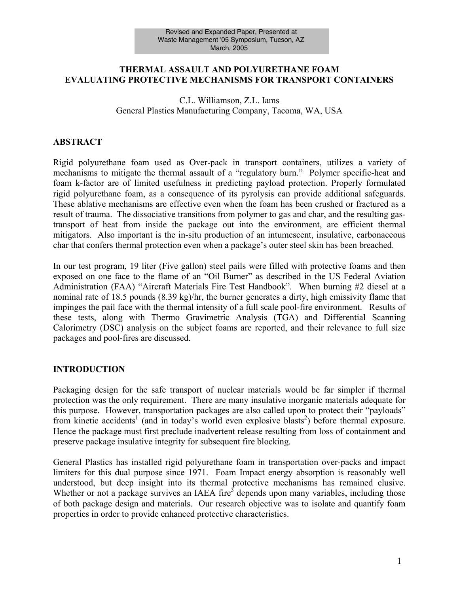#### **THERMAL ASSAULT AND POLYURETHANE FOAM EVALUATING PROTECTIVE MECHANISMS FOR TRANSPORT CONTAINERS**

#### C.L. Williamson, Z.L. Iams General Plastics Manufacturing Company, Tacoma, WA, USA

#### **ABSTRACT**

Rigid polyurethane foam used as Over-pack in transport containers, utilizes a variety of mechanisms to mitigate the thermal assault of a "regulatory burn." Polymer specific-heat and foam k-factor are of limited usefulness in predicting payload protection. Properly formulated rigid polyurethane foam, as a consequence of its pyrolysis can provide additional safeguards. These ablative mechanisms are effective even when the foam has been crushed or fractured as a result of trauma. The dissociative transitions from polymer to gas and char, and the resulting gastransport of heat from inside the package out into the environment, are efficient thermal mitigators. Also important is the in-situ production of an intumescent, insulative, carbonaceous char that confers thermal protection even when a package's outer steel skin has been breached.

In our test program, 19 liter (Five gallon) steel pails were filled with protective foams and then exposed on one face to the flame of an "Oil Burner" as described in the US Federal Aviation Administration (FAA) "Aircraft Materials Fire Test Handbook". When burning #2 diesel at a nominal rate of 18.5 pounds (8.39 kg)/hr, the burner generates a dirty, high emissivity flame that impinges the pail face with the thermal intensity of a full scale pool-fire environment. Results of these tests, along with Thermo Gravimetric Analysis (TGA) and Differential Scanning Calorimetry (DSC) analysis on the subject foams are reported, and their relevance to full size packages and pool-fires are discussed.

#### **INTRODUCTION**

Packaging design for the safe transport of nuclear materials would be far simpler if thermal protection was the only requirement. There are many insulative inorganic materials adequate for this purpose. However, transportation packages are also called upon to protect their "payloads" from kinetic accidents<sup>1</sup> (and in today's world even explosive blasts<sup>2</sup>) before thermal exposure. Hence the package must first preclude inadvertent release resulting from loss of containment and preserve package insulative integrity for subsequent fire blocking.

General Plastics has installed rigid polyurethane foam in transportation over-packs and impact limiters for this dual purpose since 1971. Foam Impact energy absorption is reasonably well understood, but deep insight into its thermal protective mechanisms has remained elusive. Whether or not a package survives an IAEA fire<sup>3</sup> depends upon many variables, including those of both package design and materials. Our research objective was to isolate and quantify foam properties in order to provide enhanced protective characteristics.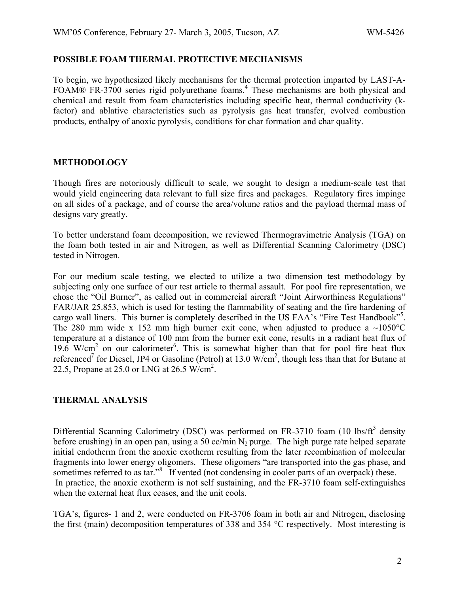#### **POSSIBLE FOAM THERMAL PROTECTIVE MECHANISMS**

To begin, we hypothesized likely mechanisms for the thermal protection imparted by LAST-A-FOAM® FR-3700 series rigid polyurethane foams.<sup>4</sup> These mechanisms are both physical and chemical and result from foam characteristics including specific heat, thermal conductivity (kfactor) and ablative characteristics such as pyrolysis gas heat transfer, evolved combustion products, enthalpy of anoxic pyrolysis, conditions for char formation and char quality.

## **METHODOLOGY**

Though fires are notoriously difficult to scale, we sought to design a medium-scale test that would yield engineering data relevant to full size fires and packages. Regulatory fires impinge on all sides of a package, and of course the area/volume ratios and the payload thermal mass of designs vary greatly.

To better understand foam decomposition, we reviewed Thermogravimetric Analysis (TGA) on the foam both tested in air and Nitrogen, as well as Differential Scanning Calorimetry (DSC) tested in Nitrogen.

For our medium scale testing, we elected to utilize a two dimension test methodology by subjecting only one surface of our test article to thermal assault. For pool fire representation, we chose the "Oil Burner", as called out in commercial aircraft "Joint Airworthiness Regulations" FAR/JAR 25.853, which is used for testing the flammability of seating and the fire hardening of cargo wall liners. This burner is completely described in the US FAA's "Fire Test Handbook"<sup>5</sup>. The 280 mm wide x 152 mm high burner exit cone, when adjusted to produce a  $\sim 1050^{\circ}$ C temperature at a distance of 100 mm from the burner exit cone, results in a radiant heat flux of 19.6 W/cm<sup>2</sup> on our calorimeter<sup>6</sup>. This is somewhat higher than that for pool fire heat flux referenced<sup>7</sup> for Diesel, JP4 or Gasoline (Petrol) at 13.0 W/cm<sup>2</sup>, though less than that for Butane at 22.5, Propane at 25.0 or LNG at 26.5 W/cm<sup>2</sup>.

## **THERMAL ANALYSIS**

Differential Scanning Calorimetry (DSC) was performed on FR-3710 foam (10 lbs/ $ft<sup>3</sup>$  density before crushing) in an open pan, using a 50 cc/min  $N_2$  purge. The high purge rate helped separate initial endotherm from the anoxic exotherm resulting from the later recombination of molecular fragments into lower energy oligomers. These oligomers "are transported into the gas phase, and sometimes referred to as tar."<sup>8</sup> If vented (not condensing in cooler parts of an overpack) these. In practice, the anoxic exotherm is not self sustaining, and the FR-3710 foam self-extinguishes when the external heat flux ceases, and the unit cools.

TGA's, figures- 1 and 2, were conducted on FR-3706 foam in both air and Nitrogen, disclosing the first (main) decomposition temperatures of 338 and 354 °C respectively. Most interesting is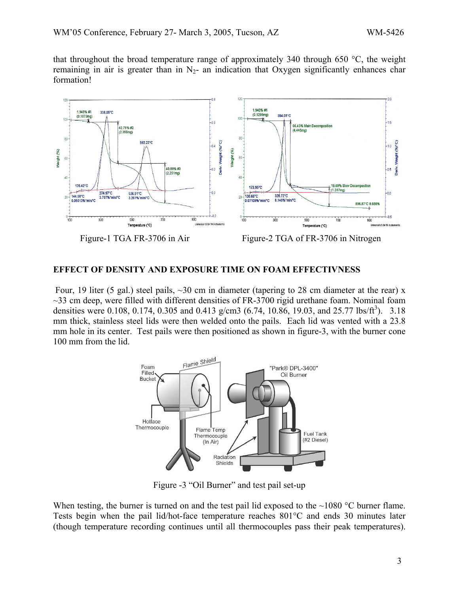that throughout the broad temperature range of approximately 340 through 650  $\degree$ C, the weight remaining in air is greater than in  $N_2$ - an indication that Oxygen significantly enhances char formation!



## **EFFECT OF DENSITY AND EXPOSURE TIME ON FOAM EFFECTIVNESS**

Four, 19 liter (5 gal.) steel pails,  $\sim$ 30 cm in diameter (tapering to 28 cm diameter at the rear) x  $\sim$ 33 cm deep, were filled with different densities of FR-3700 rigid urethane foam. Nominal foam densities were 0.108, 0.174, 0.305 and 0.413 g/cm3 (6.74, 10.86, 19.03, and 25.77 lbs/ft<sup>3</sup>). 3.18 mm thick, stainless steel lids were then welded onto the pails. Each lid was vented with a 23.8 mm hole in its center. Test pails were then positioned as shown in figure-3, with the burner cone 100 mm from the lid.



Figure -3 "Oil Burner" and test pail set-up

When testing, the burner is turned on and the test pail lid exposed to the  $\sim$ 1080 °C burner flame. Tests begin when the pail lid/hot-face temperature reaches 801°C and ends 30 minutes later (though temperature recording continues until all thermocouples pass their peak temperatures).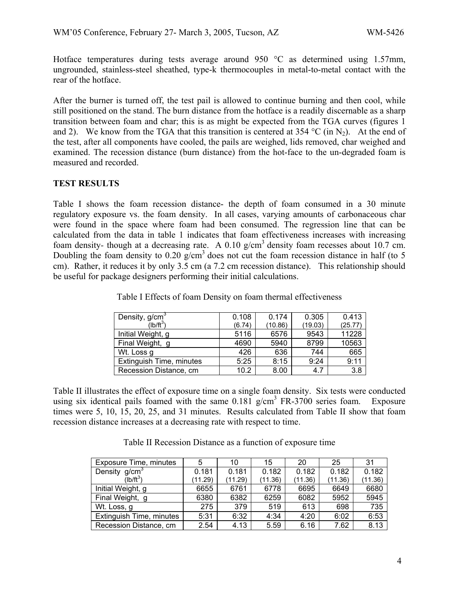Hotface temperatures during tests average around 950 °C as determined using 1.57mm, ungrounded, stainless-steel sheathed, type-k thermocouples in metal-to-metal contact with the rear of the hotface.

After the burner is turned off, the test pail is allowed to continue burning and then cool, while still positioned on the stand. The burn distance from the hotface is a readily discernable as a sharp transition between foam and char; this is as might be expected from the TGA curves (figures 1 and 2). We know from the TGA that this transition is centered at 354 °C (in N<sub>2</sub>). At the end of the test, after all components have cooled, the pails are weighed, lids removed, char weighed and examined. The recession distance (burn distance) from the hot-face to the un-degraded foam is measured and recorded.

## **TEST RESULTS**

Table I shows the foam recession distance- the depth of foam consumed in a 30 minute regulatory exposure vs. the foam density. In all cases, varying amounts of carbonaceous char were found in the space where foam had been consumed. The regression line that can be calculated from the data in table 1 indicates that foam effectiveness increases with increasing foam density- though at a decreasing rate. A 0.10 g/cm<sup>3</sup> density foam recesses about 10.7 cm. Doubling the foam density to 0.20  $g/cm<sup>3</sup>$  does not cut the foam recession distance in half (to 5 cm). Rather, it reduces it by only 3.5 cm (a 7.2 cm recession distance). This relationship should be useful for package designers performing their initial calculations.

| Density, g/cm <sup>3</sup> | 0.108  | 0.174   | 0.305   | 0.413   |
|----------------------------|--------|---------|---------|---------|
| $(Hb/ft^3)$                | (6.74) | (10.86) | (19.03) | (25.77) |
| Initial Weight, g          | 5116   | 6576    | 9543    | 11228   |
| Final Weight, g            | 4690   | 5940    | 8799    | 10563   |
| Wt. Loss g                 | 426    | 636     | 744     | 665     |
| Extinguish Time, minutes   | 5:25   | 8:15    | 9:24    | 9:11    |
| Recession Distance, cm     | 10.2   | 8.00    | 4.7     | 3.8     |

Table I Effects of foam Density on foam thermal effectiveness

Table II illustrates the effect of exposure time on a single foam density. Six tests were conducted using six identical pails foamed with the same  $0.181$  g/cm<sup>3</sup> FR-3700 series foam. Exposure times were 5, 10, 15, 20, 25, and 31 minutes. Results calculated from Table II show that foam recession distance increases at a decreasing rate with respect to time.

Table II Recession Distance as a function of exposure time

| Exposure Time, minutes   | 5       | 10      | 15      | 20      | 25      | 31      |
|--------------------------|---------|---------|---------|---------|---------|---------|
| Density $g/cm3$          | 0.181   | 0.181   | 0.182   | 0.182   | 0.182   | 0.182   |
| $(Ib/ft^3)$              | (11.29) | (11.29) | (11.36) | (11.36) | (11.36) | (11.36) |
| Initial Weight, g        | 6655    | 6761    | 6778    | 6695    | 6649    | 6680    |
| Final Weight, g          | 6380    | 6382    | 6259    | 6082    | 5952    | 5945    |
| Wt. Loss, g              | 275     | 379     | 519     | 613     | 698     | 735     |
| Extinguish Time, minutes | 5:31    | 6:32    | 4:34    | 4:20    | 6:02    | 6:53    |
| Recession Distance, cm   | 2.54    | 4.13    | 5.59    | 6.16    | 7.62    | 8.13    |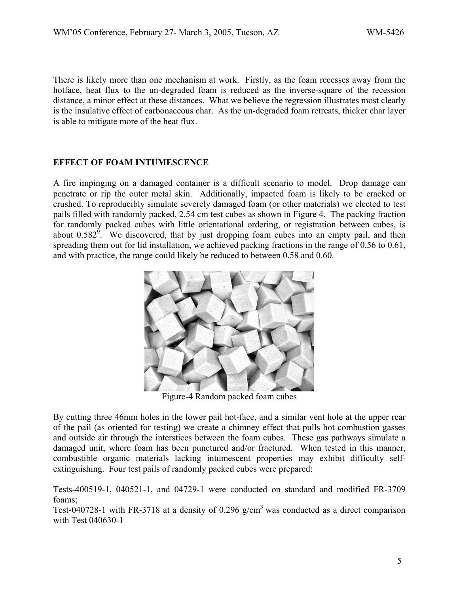There is likely more than one mechanism at work. Firstly, as the foam recesses away from the hotface, heat flux to the un-degraded foam is reduced as the inverse-square of the recession distance, a minor effect at these distances. What we believe the regression illustrates most clearly is the insulative effect of carbonaceous char. As the un-degraded foam retreats, thicker char layer is able to mitigate more of the heat flux.

## **EFFECT OF FOAM INTUMESCENCE**

A fire impinging on a damaged container is a difficult scenario to model. Drop damage can penetrate or rip the outer metal skin. Additionally, impacted foam is likely to be cracked or crushed. To reproducibly simulate severely damaged foam (or other materials) we elected to test pails filled with randomly packed, 2.54 cm test cubes as shown in Figure 4. The packing fraction for randomly packed cubes with little orientational ordering, or registration between cubes, is about  $0.582^9$ . We discovered, that by just dropping foam cubes into an empty pail, and then spreading them out for lid installation, we achieved packing fractions in the range of 0.56 to 0.61, and with practice, the range could likely be reduced to between 0.58 and 0.60.



Figure-4 Random packed foam cubes

By cutting three 46mm holes in the lower pail hot-face, and a similar vent hole at the upper rear of the pail (as oriented for testing) we create a chimney effect that pulls hot combustion gasses and outside air through the interstices between the foam cubes. These gas pathways simulate a damaged unit, where foam has been punctured and/or fractured. When tested in this manner, combustible organic materials lacking intumescent properties may exhibit difficulty selfextinguishing. Four test pails of randomly packed cubes were prepared:

Tests-400519-1, 040521-1, and 04729-1 were conducted on standard and modified FR-3709 foams;

Test-040728-1 with FR-3718 at a density of 0.296  $g/cm<sup>3</sup>$  was conducted as a direct comparison with Test 040630-1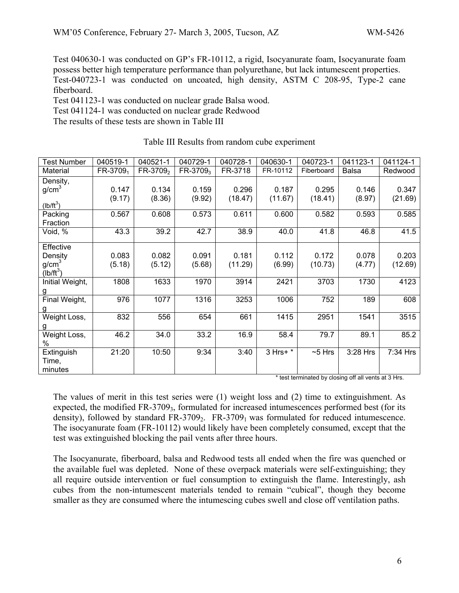Test 040630-1 was conducted on GP's FR-10112, a rigid, Isocyanurate foam, Isocyanurate foam possess better high temperature performance than polyurethane, but lack intumescent properties. Test-040723-1 was conducted on uncoated, high density, ASTM C 208-95, Type-2 cane fiberboard.

Test 041123-1 was conducted on nuclear grade Balsa wood.

Test 041124-1 was conducted on nuclear grade Redwood

The results of these tests are shown in Table III

| <b>Test Number</b> | 040519-1             | 040521-1             | 040729-1             | 040728-1 | 040630-1 | 040723-1   | 041123-1     | 041124-1 |
|--------------------|----------------------|----------------------|----------------------|----------|----------|------------|--------------|----------|
| Material           | FR-3709 <sub>1</sub> | FR-3709 <sub>2</sub> | FR-3709 <sub>3</sub> | FR-3718  | FR-10112 | Fiberboard | <b>Balsa</b> | Redwood  |
| Density,           |                      |                      |                      |          |          |            |              |          |
| g/cm <sup>3</sup>  | 0.147                | 0.134                | 0.159                | 0.296    | 0.187    | 0.295      | 0.146        | 0.347    |
|                    | (9.17)               | (8.36)               | (9.92)               | (18.47)  | (11.67)  | (18.41)    | (8.97)       | (21.69)  |
| $(lb/ft^3)$        |                      |                      |                      |          |          |            |              |          |
| Packing            | 0.567                | 0.608                | 0.573                | 0.611    | 0.600    | 0.582      | 0.593        | 0.585    |
| Fraction           |                      |                      |                      |          |          |            |              |          |
| Void, %            | 43.3                 | 39.2                 | 42.7                 | 38.9     | 40.0     | 41.8       | 46.8         | 41.5     |
|                    |                      |                      |                      |          |          |            |              |          |
| Effective          |                      |                      |                      |          |          |            |              |          |
| Density            | 0.083                | 0.082                | 0.091                | 0.181    | 0.112    | 0.172      | 0.078        | 0.203    |
| g/cm <sup>3</sup>  | (5.18)               | (5.12)               | (5.68)               | (11.29)  | (6.99)   | (10.73)    | (4.77)       | (12.69)  |
| $(Ib/ft^3)$        |                      |                      |                      |          |          |            |              |          |
| Initial Weight,    | 1808                 | 1633                 | 1970                 | 3914     | 2421     | 3703       | 1730         | 4123     |
| $\overline{g}$     |                      |                      |                      |          |          |            |              |          |
| Final Weight,      | 976                  | 1077                 | 1316                 | 3253     | 1006     | 752        | 189          | 608      |
| g                  |                      |                      |                      |          |          |            |              |          |
| Weight Loss,       | 832                  | 556                  | 654                  | 661      | 1415     | 2951       | 1541         | 3515     |
| g                  |                      |                      |                      |          |          |            |              |          |
| Weight Loss,       | 46.2                 | 34.0                 | 33.2                 | 16.9     | 58.4     | 79.7       | 89.1         | 85.2     |
| %                  |                      |                      |                      |          |          |            |              |          |
| Extinguish         | 21:20                | 10:50                | 9:34                 | 3:40     | 3 Hrs+ * | $~5$ Hrs   | 3:28 Hrs     | 7:34 Hrs |
| Time,              |                      |                      |                      |          |          |            |              |          |
| minutes            |                      |                      |                      |          |          |            |              |          |
|                    |                      |                      |                      |          |          |            |              |          |

#### Table III Results from random cube experiment

\* test terminated by closing off all vents at 3 Hrs.

The values of merit in this test series were (1) weight loss and (2) time to extinguishment. As expected, the modified  $FR-3709_3$ , formulated for increased intumescences performed best (for its density), followed by standard  $FR-3709_2$ .  $FR-3709_1$  was formulated for reduced intumescence. The isocyanurate foam (FR-10112) would likely have been completely consumed, except that the test was extinguished blocking the pail vents after three hours.

The Isocyanurate, fiberboard, balsa and Redwood tests all ended when the fire was quenched or the available fuel was depleted. None of these overpack materials were self-extinguishing; they all require outside intervention or fuel consumption to extinguish the flame. Interestingly, ash cubes from the non-intumescent materials tended to remain "cubical", though they become smaller as they are consumed where the intumescing cubes swell and close off ventilation paths.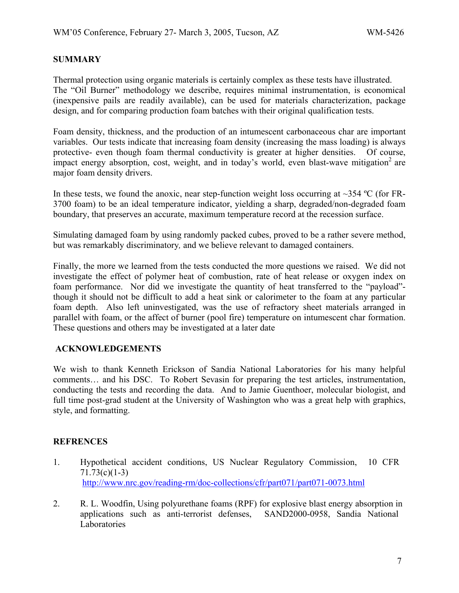# **SUMMARY**

Thermal protection using organic materials is certainly complex as these tests have illustrated. The "Oil Burner" methodology we describe, requires minimal instrumentation, is economical (inexpensive pails are readily available), can be used for materials characterization, package design, and for comparing production foam batches with their original qualification tests.

Foam density, thickness, and the production of an intumescent carbonaceous char are important variables. Our tests indicate that increasing foam density (increasing the mass loading) is always protective- even though foam thermal conductivity is greater at higher densities. Of course, impact energy absorption, cost, weight, and in today's world, even blast-wave mitigation<sup>2</sup> are major foam density drivers.

In these tests, we found the anoxic, near step-function weight loss occurring at  $\sim$ 354 °C (for FR-3700 foam) to be an ideal temperature indicator, yielding a sharp, degraded/non-degraded foam boundary, that preserves an accurate, maximum temperature record at the recession surface.

Simulating damaged foam by using randomly packed cubes, proved to be a rather severe method, but was remarkably discriminatory*,* and we believe relevant to damaged containers.

Finally, the more we learned from the tests conducted the more questions we raised. We did not investigate the effect of polymer heat of combustion, rate of heat release or oxygen index on foam performance. Nor did we investigate the quantity of heat transferred to the "payload" though it should not be difficult to add a heat sink or calorimeter to the foam at any particular foam depth. Also left uninvestigated, was the use of refractory sheet materials arranged in parallel with foam, or the affect of burner (pool fire) temperature on intumescent char formation. These questions and others may be investigated at a later date

## **ACKNOWLEDGEMENTS**

We wish to thank Kenneth Erickson of Sandia National Laboratories for his many helpful comments… and his DSC. To Robert Sevasin for preparing the test articles, instrumentation, conducting the tests and recording the data. And to Jamie Guenthoer, molecular biologist, and full time post-grad student at the University of Washington who was a great help with graphics, style, and formatting.

## **REFRENCES**

- 1. Hypothetical accident conditions, US Nuclear Regulatory Commission, 10 CFR 71.73(c)(1-3) <http://www.nrc.gov/reading-rm/doc-collections/cfr/part071/part071-0073.html>
- 2. R. L. Woodfin, Using polyurethane foams (RPF) for explosive blast energy absorption in applications such as anti-terrorist defenses, SAND2000-0958, Sandia National Laboratories